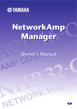

AMP

# **NetworkAmp NetworkAmp Manager Manager**

**Owner's Manual Owner's Manual**

NETWORK HUB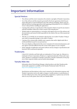# **Important Information**

# **Special Notices**

- The software and this owner's manual are the exclusive copyrights of Yamaha Corporation.
- Use of the software and this manual is governed by the license agreement which the purchaser fully agrees to upon breaking the seal of the software packaging. (Please read carefully the Software Licensing Agreement at the beginning of the printed *ACU16-C/NHB32-C Owner's Manual* before installing the application.)
- Copying of the software or reproduction of this manual in whole or in part by any means is expressly forbidden without the written consent of the manufacturer.
- Yamaha makes no representations or warranties with regard to the use of the software and documentation and cannot be held responsible for the results of the use of this manual and the software.
- This disc is a CD-ROM. Do not attempt to play the disc on an audio CD player. Doing so may result in irreparable damage to your audio CD player.
- Copying of the commercially available music sequence data and/or digital audio files is strictly prohibited except for your personal use.
- The screen displays as illustrated in this owner's manual are for instructional purposes, and may appear somewhat different from the screens which appear on your computer.
- Future upgrades of application and system software and any changes in specifications and functions will be announced separately.

## **Trademarks**

CobraCAD, CobraNet, and Peak Audio are trademarks of Cirrus Logic, Inc. Ethernet is a trademark of Xerox Corporation. Windows is a registered trademark of Microsoft Corporation. Yamaha is a trademark of Yamaha Corporation. All other trademarks are the property of their respective holders and are hereby acknowledged.

# **Yamaha Web Site**

Information about NetworkAmp Manager, related products, and other Yamaha professional audio equipment is available on the Yamaha Professional Audio Web site at: [http://www.yamahaproaudio.com/.](http://www.yamahaproaudio.com/)

Specifications and descriptions in this owner's manual are for information purposes only. Yamaha Corporation reserves the right to change or modify products or specifications at any time without prior notice. Since specifications, equipment, or options may not be the same in every locale, please check with your Yamaha dealer.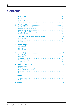# **Contents**

| $\mathbf{2}$ | $\prime$                      |
|--------------|-------------------------------|
| 3            | Touring NetworkAmp Manager 10 |
|              | <sup>10</sup>                 |
| 4            |                               |
|              |                               |
|              |                               |
| 5            |                               |
|              |                               |
|              | 20                            |
|              |                               |
|              |                               |
| 6            | Other Functions  25           |
|              |                               |
|              |                               |
|              |                               |
|              |                               |
|              | 38<br><b>Appendix</b>         |
|              | 38                            |
|              | 38                            |
|              | 39                            |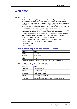# <span id="page-3-0"></span>**1 Welcome**

# <span id="page-3-1"></span>**Introduction**

The Yamaha NetworkAmp Manager software is for controlling and monitoring Yamaha PCxxxxN series power amplifiers, the ACU16-C Amp Control Unit, and the NHB32-C Network Hub and Bridge. It runs on standard Windows PCs and can be connected to an ACU16-C or NHB32-C by using either USB or RS-232C. Multiple ACU16-Cs and NHB32-Cs can be managed from a single PC running NetworkAmp Manager, which can be connected to any ACU16-C or NHB32-C on the CobraNet network.

NetworkAmp Manager can record log files listing various operations and warnings (e.g., output shorts, overheating) for troubleshooting analysis after a performance.

Several PCs running NetworkAmp Manager can be connected to the CobraNet network, offering simultaneous control and monitoring from several locations within a venue.

NetworkAmp Manager can control and manage the following:

Up to 512 Yamaha PCxxxxN series power amplifiers (32 amps per ACU16-C)

Up to 4,096 amplifier channels (8 channels per amplifier)

Up to 16 ACU16-Cs

Up to 8 NHB32-Cs

#### **PCxxxxN Series Amp Parameters That Can Be Controlled**

| <b>Parameter</b>   | <b>Details</b>  |
|--------------------|-----------------|
| Power <sup>1</sup> | On/standby      |
| Attenuator         | 63-step control |
| Input phase        | Normal/reverse  |
| Mute               | On/off          |

1. Affects the entire amplifier. All other parameters can be set for each channel individually.

#### **PCxxxxN Series Amp Parameters That Can Be Monitored**

| Parameter    | <b>Details</b>                                                 |
|--------------|----------------------------------------------------------------|
| Amp mode     | Stereo/parallel/bridge                                         |
| Input level  | 12-segment meter                                               |
| Output level | 12-segment meter (watt/volt)                                   |
| Output clip  | Output clipping indicator                                      |
| Impedance    | Indicates current load impedance                               |
| Protection   | Protection system status                                       |
| Temperature  | Heatsink temperature, 12-segment meter (centigrade/Fahrenheit) |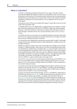# <span id="page-4-0"></span>**What is CobraNet?**

CobraNet is technology developed by Peak Audio (Cirrus Logic, USA) that transmits uncompressed digital audio signals in realtime over a fast Ethernet cable. It can carry up to 64 channels in each direction or 128 channels total for both directions (64 channels total for both directions in a network that uses a repeater hub). (However, the number of channels is limited by conditions such as the performance of your equipment and on the type of audio signal.)

Transmission of up to 100 meters is possible with Category 5 metal cable, or up to 2 km with multi-mode optical fiber cable.

A CobraNet network can carry digital audio at sampling frequencies of 48 kHz or 96 kHz and 16/20/24 bit resolutions, but the ACU16-C/NHB32-C support the 48 kHz sampling frequency at 20/24 bit resolutions. A fixed latency is added to the audio data each time it passes through a CobraNet network. You can select this latency from 5.33 ms / 2.67 ms / 1.33 ms.

A CobraNet network can carry audio over an existing Fast Ethernet network to which other devices such as computers and printers are already connected, but we strongly recommend that you set up a dedicated network for CobraNet.

In a CobraNet network, digital audio is distributed in packets called "bundles." Each bundle contains between three and eight channels of audio, depending on conditions such as the bit depth and latency.

Bundles are assigned a number in the range of 0 through 65,279. Bundles can be transmitted either as "multicast bundles" which occupy more network bandwidth but allow audio to be distributed to multiple devices simultaneously, or as "unicast bundles" which use less network bandwidth but can distribute audio to only a single device. The number assigned to the bundle determines which of these two types it is. Number 0 indicates a null setting that disables transmission or reception of bundles, numbers 1 through 255 indicate multicast bundles, and numbers 256 through 65,279 indicate unicast bundles. The ACU16-C/NHB32-C support bundle numbers 0 through 16,383.

The ACU16-C can accept up to four input bundles simultaneously, and the NHB32-C can use four input bundles and four output bundles simultaneously. However if you set the latency to 1.33 ms, the number of bundles usable on the NHB32-C will be a maximum of four (total for input and output).

A CobraNet network also provides a Serial Bridge feature that allows serial data to be transmitted over the network. The ACU16-C and NHB32-C normally use the Serial Bridge to transmit amp control data, but you can also use COM mode or MIDI mode to send other data between two NHB32-C units via the Serial Bridge.

A glossary of CobraNet, NetworkAmp Manager, ACU16-C, and NHB32-C related terms is provided in this manual (see [page 39](#page-38-1)). A wealth of information about CobraNet, with sections especially for designers and installers, is available on the Peak Audio Web site at <http://www.peakaudio.com>. If you are designing a CobraNet network, we strongly recommend that you visit this Web site and study the information available in order to take full advantage of the CobraNet technology. Peak Audio also provide a list of Ethernet devices that have been tested with CobraNet, including switching hubs and media converters.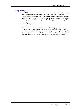# <span id="page-5-0"></span>**Using Multiple PCs**

Several PCs running NetworkAmp Manager can be connected to the CobraNet network, offering simultaneous control and monitoring from several locations within a venue.

Up to 16 channels of real-time data (e.g., level meter information) can be transmitted across the network simultaneously. When operating NetworkAmp Manager on several PCs simultaneously, operation of the meter displays on the following pages may be interrupted:

- Amp pages
- Channel Detail page
- Group View page

When one of the above pages is selected, any other PCs displaying one of these pages will automatically switch to its Network page and display the same information. For example, if PC #1 is displaying the Amp 00–07 page, and PC #2 is displaying the Amp 24–31 page, if the Amp 08–15 page is selected on PC #1, PC #2 will switch to its Network page and display the same information. PCs that are not displaying one of the above pages do nothing.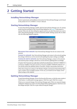# <span id="page-6-0"></span>**2 Getting Started**

# <span id="page-6-1"></span>**Installing NetworkAmp Manager**

System requirements and installation instructions for NetworkAmp Manager can be found in the printed *ACU16-C/NHB32-C Owner's Manual.*

# <span id="page-6-2"></span>**Starting NetworkAmp Manager**

To start NetworkAmp Manager, double-click the NetworkAmp Manager icon. If a startup project has been specified on the General Setup dialog box (see [page 8](#page-7-0)), that project is opened. Otherwise, the Open dialog box appears and you can select the project you want to open. NetworkAmp Manager can also be started by double-clicking a project file. In either case, the following dialog box appears.

| Network connect           |
|---------------------------|
| Disconnect from network   |
| Connect to network        |
| Connect & send to network |
|                           |

**Disconnect from network:** Start NetworkAmp Manager but do not connect to the network.

**Connect to network:** Start NetworkAmp Manager and connect to the network, getting the settings of all devices on the network and updating the project settings accordingly.

**Connect & send to network:** Start NetworkAmp Manager, connect to the network, and send the project settings to all devices on the network, updating them accordingly.

*Caution: Don't transmit any audio data until all networked devices (ACU16-C, NHB32-C, and power amplifiers) have been turned on, the power amplifier's REMOTE indicators are on, and the system has stabilized (about 10 seconds). Doing so may produce loud noises.*

*Note: If you change any settings on the Windows Display control panel, NetworkAmp Manager's windows may not display properly. In this case, you should reset the Display control panel settings to their defaults.*

# <span id="page-6-3"></span>**Quitting NetworkAmp Manager**

To quit NetworkAmp Manager, choose Exit from the File menu, or click the main window's Close button. A confirmation message appears. Click Yes to quit. Click No to cancel.

If there are no unsaved changes, NetworkAmp Manager quits. If there are unsaved changes, a dialog box asking if you want to save the changes before quitting appears. Click Yes to save the changes and quit. Click No to quit without saving the changes.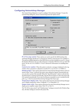## <span id="page-7-0"></span>**Configuring NetworkAmp Manager**

The General Setup dialog box is used to configure NetworkAmp Manager. To open the General Setup dialog box, choose General Setup from the Option menu.

| <b>General Setup</b>                                                                                                                                             |                                 |
|------------------------------------------------------------------------------------------------------------------------------------------------------------------|---------------------------------|
| PC I/F for amp control                                                                                                                                           | Temperature display units       |
| <b>MIDI IN</b>                                                                                                                                                   | $\bullet$ Centigrade( $\circ$ ) |
| YAMAHA USB IN 0-1                                                                                                                                                | $C$ Fahrenheit $(F)$            |
|                                                                                                                                                                  | Output meter units              |
|                                                                                                                                                                  | G Watt                          |
|                                                                                                                                                                  |                                 |
|                                                                                                                                                                  |                                 |
| Control error caution                                                                                                                                            |                                 |
|                                                                                                                                                                  |                                 |
| Default project                                                                                                                                                  |                                 |
| $\cap$ None                                                                                                                                                      |                                 |
| ← Specified project                                                                                                                                              |                                 |
|                                                                                                                                                                  | Browse.                         |
|                                                                                                                                                                  |                                 |
|                                                                                                                                                                  |                                 |
|                                                                                                                                                                  |                                 |
| MIDI OUT<br>YAMAHA USB OUT 0-1<br>$\overline{\mathbf{v}}$ Note when unexpected data change is detected<br>C:¥My Documents¥My Project¥My Project.apj<br><b>OK</b> | $\cap$ Volt<br>Cancel           |

**PC I/F for amp control:** These options are used to specify the MIDI interface NetworkAmp Manager should use to communicate with the connected ACU16-C/NHB32-C. The options available depends on what MIDI drivers you have installed on your PC. Choose the Yamaha CBX Driver (for use with serial ports) or Yamaha USB Driver (for use with USB ports). See the *ACU16-C/NHB32-C Owner's Manual* for information on installing these drivers.

**Control error caution:** When this option is selected, a message is displayed in the Log window when a parameter is adjusted on another PC or an ACU16-C or NHB32-C.

**Default project:** These options determine how NetworkAmp Manager behaves when it's started. When "None" is selected, the project open dialog box appears automatically and you can select a project file manually. When the "Specified project" option is selected, the specified project is opened automatically. Click the Browse button to select the project file to be opened automatically. If you enter the filename manually, be sure to include the full path (e.g., C:\My Documents\NetworkAmp Manager\My Project.apj).

**Temperature display units:** These options determine the units NetworkAmp Manager uses to display temperature values: Centigrade (˚C) or Fahrenheit (˚F).

**Output meter units:** These options determine the units NetworkAmp Manager uses to display power amplifier output values: Watt (W) or Volt (V).

The "PC I/F for amp control" and "Default project" settings are stored in the Windows Registry. All other settings are stored in the project file.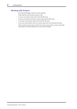# <span id="page-8-0"></span>**Working with Projects**

NetworkAmp Manager setups are stored as projects. Project files have the file name extension ".apj".

- To create a new project, choose New from the File menu.
- To open a previously saved project, choose Open from the File menu.
- To save the current project, choose Save from the File menu.
- To save the current project with a new name, choose Save As as from the File menu. Only one project can be open at a time. If you create a new project or open a previously saved project, you'll be prompted to save any unsaved changes.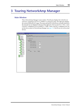# <span id="page-9-0"></span>**3 Touring NetworkAmp Manager**

# <span id="page-9-1"></span>**Main Window**

This is NetworkAmp Manager's main window. The left pane displays the CobraNet network tree, consisting of ACU16-Cs, NHB32-Cs, and power amps. The right pane displays the various NHB and ACU pages. The name and unit ID of the device currently selected in the network tree are displayed at the top of the right pane. If it's an ACU16-C, "ACU - name [Unit ID]" is displayed. If it's an NHB32-C, "NHB - name [Unit ID]" is displayed. You can set the device names in NetworkAmp Manager (see [page 13\)](#page-12-0). Unit IDs are set on the actual devices.

| NetworkAmp Manager                                       | $\Box$                                                                                      |  |
|----------------------------------------------------------|---------------------------------------------------------------------------------------------|--|
| File Edit View Option Window<br>He                       |                                                                                             |  |
| <b>E-PRJ</b> hall_A                                      | ACU - ACU16-C [04]                                                                          |  |
| <b>NHB</b> #00 NHB32-C                                   | CobraNet Patch   Amp 00-07   Amp 08-15   Amp 16-23   Amp 24-31   Channel Detail   Threshold |  |
| #01 NHB32-C<br><b>NHR</b>                                |                                                                                             |  |
| #02 NHB32-C<br><b>NHB</b><br>NHB #03 NHB32-C             |                                                                                             |  |
| <b>BCU #04 ACU16-C</b>                                   | $\nabla$ Enable unicast                                                                     |  |
| E-8MP #00 PC9500N                                        | CobraNet Input                                                                              |  |
|                                                          | Receive bundle assignment                                                                   |  |
| - <mark>CH</mark> entrance<br>- <mark>CH</mark> gakuya_A |                                                                                             |  |
| 白 201 PC9500N                                            | 255<br>Group 1 (CH1-CH8)                                                                    |  |
| CH gakuya_B                                              | Group 2 (CH9-CH16)<br>$\mathbf{1}$                                                          |  |
| CH gakuya_C<br>E- RMP #02 PC9500N                        |                                                                                             |  |
| CH howaie_1                                              | Group 3 (CH17-CH24)<br>500                                                                  |  |
| CH howaie_2                                              |                                                                                             |  |
| E-88 #03 PC9500N                                         | Group 4 (CH25-CH32)<br>$\theta$                                                             |  |
| CH howaie 3                                              |                                                                                             |  |
| CH howaie 4                                              |                                                                                             |  |
| <b>E-8MP #04 PC9500N</b><br>CH Channel A                 | Latency                                                                                     |  |
| CH Channel B                                             | $G$ [1.33ms]<br>$C$ 2.67ms<br>$C$ 5.33ms                                                    |  |
| E- <sup>amp</sup> #05 PC9500N                            |                                                                                             |  |
| <b>CH</b> Channel A                                      |                                                                                             |  |
| CH Channel B                                             |                                                                                             |  |
| <b>ACU #05 ACU16-C</b>                                   |                                                                                             |  |
| #06 ACU16-C<br><b>ACU</b><br>#07 ACU16-C<br>ACU          |                                                                                             |  |
|                                                          |                                                                                             |  |
|                                                          |                                                                                             |  |
|                                                          |                                                                                             |  |
|                                                          |                                                                                             |  |
|                                                          |                                                                                             |  |
|                                                          |                                                                                             |  |
|                                                          |                                                                                             |  |
|                                                          |                                                                                             |  |
|                                                          |                                                                                             |  |
|                                                          |                                                                                             |  |
|                                                          |                                                                                             |  |
|                                                          |                                                                                             |  |
|                                                          |                                                                                             |  |
|                                                          |                                                                                             |  |
|                                                          |                                                                                             |  |
|                                                          |                                                                                             |  |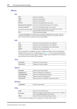## <span id="page-10-0"></span>**Menus**

#### **File**

| <b>New</b>                           | Creates a new project                                                                                      |
|--------------------------------------|------------------------------------------------------------------------------------------------------------|
| Open                                 | Opens an existing project                                                                                  |
| Save                                 | Saves the current project                                                                                  |
| Save As                              | Saves the current project with a new name                                                                  |
| Disconnect from Network <sup>1</sup> | Disconnects NetworkAmp Manager from the network                                                            |
| Connect to Network <sup>1</sup>      | Connects NetworkAmp Manager to the network                                                                 |
| Connect & send to network            | Connects NetworkAmp Manager to the network and sends the<br>project settings to all devices on the network |
| Exit                                 | Quits NetworkAmp Manager                                                                                   |

<span id="page-10-1"></span>1. A check mark appears next to either of these commands, indicating the current status. If the connected ACU16-C/NHB32-C is turned off, the check mark appears next to the "DIsconnect from Network" command and a disconnection warning message appears.

#### **Edit**

| Cut           | Moves the currently selected item to the clipboard       |
|---------------|----------------------------------------------------------|
| Copy          | Copies the currently selected item to the clipboard      |
| Paste         | Pastes the item on the clipboard to the current location |
| <b>Delete</b> | Deletes the currently selected item                      |

These commands are available only when an editable text field is selected, including the threshold values on the ACU Threshold page (see [page 24](#page-23-0)). These commands also appear on the pop-up Edit menu that appears when you right-click an editable item. The pop-up menu also has Undo and Select All commands.

#### **View**

| <b>Group View</b> | Displays the Group View page   |
|-------------------|--------------------------------|
| ' Control Link    | Displays the Control Link page |

# **Option**

| Log Setup             | Opens the Log Setup dialog box                     |
|-----------------------|----------------------------------------------------|
| <b>Operation Lock</b> | Opens the Operation Lock dialog box                |
| <b>COM/MIDI Mode</b>  | Opens the COM/MIDI Mode dialog box                 |
| <b>General Setup</b>  | Opens the General Setup dialog box                 |
| <b>Factory Reset</b>  | Resets the ACU16-C or NHB32-C connected to your PC |

#### **Window**

| Log Window | ' Opens the Loa window |
|------------|------------------------|
|------------|------------------------|

**Help**

| $\text{Help}^1$    | Opens this manual (PDF format)                                                                                   |
|--------------------|------------------------------------------------------------------------------------------------------------------|
| <b>Help Topics</b> | Selects the language, English, Japanese, German, French, or Spanish,<br>of the NetworkAmp Manager Owner's Manual |
| About              | Opens the About NetworkAmp Manager window                                                                        |

1. If this command is unavailable, select a language from the Help Topics submenu.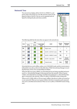# <span id="page-11-0"></span>**Network Tree**

The network tree displays all the ACU16-Cs, NHB32-Cs, and power amps in the project in a tree-like structure. Items are displayed in order of unit ID. The tree can be expanded and collapsed by clicking the plus and minus symbols.



The following table lists the items that can appear in the network tree.

|            |            | <b>Icon</b> |                         | Parent<br>Label<br>node |            | <b>Maximum</b>             |
|------------|------------|-------------|-------------------------|-------------------------|------------|----------------------------|
| Item       | Offline    | Online      | <b>COM/MIDI</b><br>mode |                         |            | number                     |
| PRI        | PRJ        | PRJ         | PRJ                     | Project name            |            | 1                          |
| <b>ACU</b> | ACU        | ACU         | ACU                     | Unit ID + ACU16-C name  | PRI        | 16                         |
| <b>NHB</b> | <b>NHB</b> | NHB         | NHB                     | Unit ID + NHB32-C name  | PRI        | 8                          |
| <b>AMP</b> | <b>AMP</b> | AMP         | AMP                     | Unit $ID + amp$ name    | <b>ACU</b> | 32 (per<br><b>ACU16-C)</b> |
| <b>CH</b>  | CН         | CH.         | CH                      | Channel name            | Amp        | 8 (per<br>amp)             |

Networked devices can be offline, online, or in COM/MIDI mode, and the current status is indicated by icon color, as shown in the table above. While NetworkAmp Manager is receiving data from a device, the corresponding icon flashes.

When the PRJ icon is gray (offline), no networked devices are being controlled and monitored (i.e., NetworkAmp Manager is disconnected from the network). When it's green (online), networked devices are being controlled and monitored (i.e., NetworkAmp Manager is connected to the network). When it's yellow, COM/MIDI mode is being used.

When an ACU, NHB, AMP, or CH icon is gray (offline), that device is either not turned on or not connected. When an icon is green (online), the device is turned on and connected and can be controlled and monitored. When an icon is yellow, COM/MIDI mode is being used.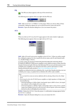PRJ

#### <span id="page-12-0"></span>**PRJ**

The PRJ icon always appears at the top of the network tree.

The following menu appears when you right-click the PRJ icon.



**Add:** Adds an ACU16-C or NHB32-C to the project. When you choose either of these commands, a dialog box appears for you to specify the device name and unit ID. **Rename:** Opens the Rename dialog box so you can rename the project.

#### **ACU**

# ACU

When you click an ACU icon, the ACU pages appear in the main window's right pane. The following menu appears when you right-click an ACU icon.

| Add    | PC9500N  |
|--------|----------|
| Delete | PC4800N  |
| Rename | PC3300N  |
|        | PC6501 N |
|        | PC2001N  |
|        | PC9501N  |
|        | PC4801N  |
|        | PC3301N  |

**Add:** Adds a PCxxxxN series power amplifier to the ACU16-C. When you add an amplifier, a dialog box appears for you to specify the device name, unit ID, and channel mode (i.e., Parallel, Bridge, or Stereo).

As of this writing, the Yamaha PC9501N/PC6501N/PC4801N/PC3301N/PC2001N/ PC9500N/PC4800N/PC3300N power amplifiers can be added to projects. Please check the Yamaha Professional Audio Web site at the following URL for news and information on networkable power amplifiers to be released in the future, and for information on other Yamaha professional audio products: [http://www.yamahaproaudio.com/.](http://www.yamahaproaudio.com/)

Amplifiers are defined in the device definition file. As and when Yamaha introduce new networkable power amps, an updated device definition file will be made available.

#### *Note:*

- *You can check the version of a device definition file by selecting [About] from the [Help] menu.*
- *If you intend to drive the PC3301N power amplifier at a high impedance in Bridge mode, note the following:*
	- *If the load impedance is 50* Ω*or higher (total speaker input is 200W or lower), the impedance indicator will not display the correct value.*
	- *If the load impedance is 500* Ω *or higher (total speaker input is 21W or lower), and the output meter displays the level in watts, the meter will not respond. (If the meter displays the level in volts, it will display the correct level.)*

**Delete:** Deletes the ACU16-C from the project. A confirmation message appears before the ACU16-C is deleted.

**Rename:** Opens the Rename dialog box so you can rename the ACU.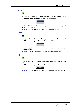#### **NHB**

**NHB** 

When you click an NHB icon, the NHB pages appear in the main window's right pane. The following menu appears when you right-click an NHB icon.



**Delete:** Deletes the NHB32-C from the project. A confirmation message appears before the NHB32-C is deleted.

**Rename:** Opens the Rename dialog box so you can rename the NHB.

#### **AMP**

#### **AMP**

When you click an AMP icon, the ACU Amp pages appear in the main window's right pane. The following menu appears when you right-click an AMP icon.



**Delete:** Deletes the amplifier from the project. A confirmation message appears before the amplifier is deleted.

**Rename:** Opens the Rename dialog box so you can rename the amplifier.

#### **CH**

#### CН

When you click a CH icon, the ACU Channel Detail page appears in the main window's right pane.

The following menu appears when you right-click a CH icon.

Rename

**Rename:** Opens the Rename dialog box so you can rename the amplifier channel.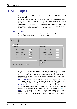# <span id="page-14-0"></span>**4 NHB Pages**

This chapter explains the NHB pages, which can be selected while an NHB32-C is selected in the network tree.

Devices on a CobraNet network transmit and receive audio data by matching bundle numbers. Matching the bundle number on the transmitting and receiving devices is analogous to making a physical cable connection between two devices. For example, if the Transmit bundle assignment (CobraNet Output) on NHB32-C #1 is set to bundle #5, and the Receive bundle assignment (CobraNet Input) on NHB32-C #2 is also set to bundle #5, audio data in bundle #5 will be carried from NHB32-C #1 to NHB32-C #2.

# <span id="page-14-1"></span>**CobraNet Page**

In this page you can make CobraNet bundle assignments, and specify the audio resolution and CobraNet network latency for the transmitted bundles.

| NHB - NHB32-C [01]                          |                                          |
|---------------------------------------------|------------------------------------------|
| CobraNet   Patch   WordClock                |                                          |
|                                             |                                          |
| $\nabla$ Enable unicast                     |                                          |
| CobraNet Input                              | CobraNet Output                          |
| Receive bundle assignment                   | Transmit bundle assignment               |
| Group 1 (CH1-CH8)<br>-7                     | Group 1 (CH1-CH8)                        |
| 256<br>Group 2 (CH9-CH16)                   | $\overline{2}$<br>Group 2 (CH9-CH16)     |
| 500<br>Group 3 (CH17-CH24)                  | Group 3 (CH17-CH24)<br>$\lceil 3 \rceil$ |
| 32<br>Group 4 (CH25-CH32)                   | Group 4 (CH25-CH32)<br>4                 |
|                                             | Audio resolution                         |
| Latency                                     | $G$ 20 bit                               |
| $G = 5.33ms$<br>$C$ 2.67 $ms$<br>$C$ 1.33ms | $C$ 24 bit                               |
|                                             |                                          |
|                                             |                                          |

CobraNet distributes digital audio data in bundles. A single bundle can carry eight channels of 20-bit/48 kHz digital audio, or seven channels of 24-bit/48 kHz digital audio (with a latency of 5.33 ms). The NHB32-C supports bundles 0 through 16,383 (multicast and unicast). Bundle 0 is not really a bundle as such, more of a null setting used to disable transmission or reception.

**Enable Unicast:** If you do not check this check box, you can specify bundle 0 and multicast bundles 1 through 225. If you check this check box, you can specify unicast bundles 256 through 16,383, in addition to bundle 0 and multicast bundles 1 through 225.

**Receive bundle assignment:** These parameters are used to specify the bundles that contain the CobraNet channels you want to patch to the NHB32-C's AES/EBU outputs. You can patch the individual channels in each bundle on the NHB Patch page (see [page 17](#page-16-0)).

**Latency:** This parameter is used to specify the latency of audio data distributed from the NHB32-C to the CobraNet network in msec units. In most cases, select 5.33 ms. You can also select 2.67 ms or 1.33 ms (low latency). However if you decrease the latency, this will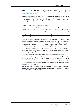intensify the restrictions on Ethernet's packet delivery times, and therefore reduce the maximum number of switches that can be used. For details, refer to the Peak Audio website [\(http://www.peakaudio.com](http://www.peakaudio.com)).

*Note: If the latency is 1.33 ms, the number of bundles that can be handled by this single device on a CobraNet network will be limited to a total of four bundles for transmission and reception. When changing the latency to 1.33 ms from some other setting, you will be unable to make this change if the total number of bundles for transmission and reception is five or more.*

The number of channels assignable per single device:

|         |                        | $20$ -bit                                                |                        | 24-bit                                                          |  |  |  |
|---------|------------------------|----------------------------------------------------------|------------------------|-----------------------------------------------------------------|--|--|--|
| Latency | Channels<br>per bundle | Maximum number of bundles<br>(total of input and output) | Channels<br>per bundle | <b>Maximum number of bundles</b><br>(total of input and output) |  |  |  |
| 5.33 ms |                        |                                                          |                        |                                                                 |  |  |  |
| 2.67ms  |                        |                                                          |                        |                                                                 |  |  |  |
| 1.33ms  |                        |                                                          |                        |                                                                 |  |  |  |

*Note: You can change the latency setting only while offline. In order to apply the setting to the NHB32-C or ACU16-C, you must execute "Connect & send to network." It is possible that noise will occur somewhere in the system when you change the latency. To prevent damage to speakers or other components, you should turn down the audio to the CobraNet network or turn down the output of the power amps before making this change.*

*Note: If two or more latencies exist within a CobraNet network, there is a danger that the devices may become unable to communicate correctly with each other. You must make the same latency setting for all devices in a single network.*

*Note: If you are unable to change the latency, refer to Troubleshooting (see [page 38](#page-37-3)).*

**Transmit bundle assignment:** These parameters are used to specify the bundles that contain the CobraNet channels you want to patch to the NHB32-C's AES/EBU inputs. You can patch the individual channels in each bundle on the NHB Patch page (see [page 17](#page-16-0)).

*Note: Two or more devices cannot transmit data in the same bundle. So do not assign the same bundle to more than one group.*

**Audio resolution:** This option is used to specify the audio resolution for bundle transmission: 20 or 24 bit. Be sure to select 24-bit if you are using 24-bit digital audio. Otherwise, your audio will be truncated to 20-bit.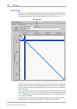# <span id="page-16-0"></span>**Patch Page**

This page is used to assign AES/EBU inputs and outputs to individual CobraNet channels and to store and recall assignment patches. Before making any assignments, you must specify the bundles that contain the CobraNet channels you want to patch (see [page 15](#page-14-1)).



**EDIT indicator**

AES/EBU inputs and outputs are assigned to CobraNet channels on two 32 x 32 grids, one for inputs, one for outputs. To make an assignment, click on the grid at the relevant intersection. A blue spot appears when an assignment has been made. To cancel an assignment, click the blue spot.

Only one AES/EBU input or output can be assigned to each CobraNet channel. For example if you select a latency of 5.22 ms and a bit depth of 24 bits in the NHB CobraNet page (see [page 15](#page-14-1)), the number of channels in each group will decrease to 7, and channels 8, 16, 24, and 32 will be unavailable.

Network efficiency can be optimized by using all channels in each bundle instead of, for example, using four channels in two bundles or two channels in four bundles.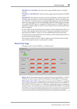**AES/EBU In to CobraNet:** This tab is used to assign AES/EBU inputs to CobraNet channels.

**CobraNet to AES/EBU Out:** This tab is used to assign CobraNet channels to AES/EBU outputs.

**Store/Recall:** These buttons are used to store and recall patches. A patch consists of all AES/EBU input and output to CobraNet channel assignments. There are 100 patch memories. Patch #0 is a read-only memory containing initial assignments, with each AES/EBU input and output assigned to the correspondingly numbered CobraNet input and output. For example, AES/EBU input #1 is assigned to CobraNet output #1, AES/EBU input #2 is assigned to CobraNet output #2, and so on. Up to 99 patches can be stored in patch memories 1 through 99.

To store a patch, use the Up and Down arrow buttons to select a patch memory from 1 to 99, enter a title, and then click the Store button. The patch is immediately transferred to, and stored in the NHB32-C, where it is can be recalled directly from the front panel.

To recall a patch, use the Up and Down arrow buttons to select a patch memory from 0 to 99, and then click the Recall button.

When a patch is edited, the "EDIT" indicator appears next to the patch number. It disappears when the patch is stored or another patch is recalled.

## <span id="page-17-0"></span>**Word Clock Page**

This page is used to select the NHB32-C's wordclock source.

| NHB - NHB32-C [01]                   |                           |                            |                           |                            |                  |
|--------------------------------------|---------------------------|----------------------------|---------------------------|----------------------------|------------------|
| CobraNet   Patch                     | WordClock                 |                            |                           |                            |                  |
| Master clock<br>48kHz<br><b>TOOK</b> |                           |                            |                           |                            |                  |
| Word clock source select             |                           |                            |                           |                            |                  |
| AES/EBU1                             | C<br><b>UNLOCK</b><br>1/2 | C.<br><b>UNLOCK</b><br>3/4 | C<br><b>UNLOCK</b><br>5/6 | C.<br><b>UNLOCK</b><br>7/8 | C Network        |
| AES/EBU 2                            | <b>UNLOCK</b><br>O<br>1/2 | C,<br><b>UNLOCK</b><br>3/4 | C<br><b>UNLOCK</b><br>5/6 | C.<br><b>UNLOCK</b><br>7/8 | C. WORD CLOCK IN |
| AES/EBU3                             | <b>UNLOCK</b><br>C<br>1/2 | C.<br><b>UNLOCK</b><br>3/4 | c<br><b>UNLOCK</b><br>5/6 | C.<br><b>UNLOCK</b><br>7/8 |                  |
| AES/EBU 4                            | <b>UNLOCK</b><br>C<br>1/2 | <b>UNLOCK</b><br>O<br>3/4  | c<br><b>UNLOCK</b><br>5/6 | C<br><b>UNLOCK</b><br>7/8  |                  |

**Master clock:** This indicator shows the wordclock lock status of the NHB32-C: LOCK or UNLOCK. It works in unison with the LOCK indicator on the NHB32-C's front panel.

**Word clock source select:** These options are used to select the NHB32-C's wordclock source, which can be a pair of AES/EBU inputs, the CobraNet network, or the NHB32-C's BNC WORD CLOCK IN connector. A confirmation message appears when you change the wordclock source. The wordclock source can also be selected on the NHB32-C's front panel.

*Note: When you change the wordclock settings of your system, some devices may output noise, so turn down your power amps beforehand, otherwise you may damage your speakers.*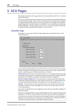# <span id="page-18-0"></span>**5 ACU Pages**

This chapter explains the ACU pages, which can be selected while an ACU16-C is selected in the network tree.

Devices on a CobraNet network transmit and receive audio data by matching bundle numbers. Matching the bundle number on the transmitting and receiving devices is analogous to making a physical cable connection between two devices. For example, if the Transmit bundle assignment (CobraNet Output) on an NHB32-C is set to bundle #4, and the Receive bundle assignment (CobraNet Input) on an ACU16-C is also set to bundle #4, audio data in bundle #4 will be carried from the NHB32-C to the ACU16-C.

# <span id="page-18-1"></span>**CobraNet Page**

In this page you can make CobraNet bundle assignments and specify the latency of the CobraNet network.

| ACU - ACU16-C [04] |                                                                                               |  |
|--------------------|-----------------------------------------------------------------------------------------------|--|
|                    | CobraNet   Patch   Amp 00-07   Amp 08-15   Amp 16-23   Amp 24-31   Channel Detail   Threshold |  |
|                    |                                                                                               |  |
|                    | $\nabla$ Enable unicast                                                                       |  |
|                    | CobraNet Input                                                                                |  |
|                    | Receive bundle assignment                                                                     |  |
|                    | 255<br>Group 1 (CH1-CH8)                                                                      |  |
|                    | Group 2 (CH9-CH16)                                                                            |  |
|                    | 500<br>Group 3 (CH17-CH24)                                                                    |  |
|                    | Group 4 (CH25-CH32)<br>0                                                                      |  |
|                    |                                                                                               |  |
| Latency            |                                                                                               |  |
|                    | $C$ 2.67ms<br>$C$ 5.33 $ms$<br>$G$ 1.33 $msi$                                                 |  |
|                    |                                                                                               |  |

You can specify which bundles you want the ACU16-C to receive. The ACU16-C supports bundles 0 through 16,383 (multicast and unicast). Bundle 0 is not really a bundle as such, more of a null setting used to disable transmission or reception.

**Enable Unicast:** If you do not check this check box, you can specify bundle 0 and multicast bundles 1 through 225. If you check this check box, you can specify unicast bundles 256 through 16,383, in addition to bundle 0 and multicast bundles 1 through 225.

**Receive bundle assignment:** These parameters are used to specify the bundles that contain the CobraNet channels you want to patch to the ACU16-C's analog outputs. You can patch the individual channels in each bundle on the ACU Patch page (see [page 20\)](#page-19-0).

**Latency:** This parameter is used to specify the latency of audio data received from the CobraNet network in ms units. Normally, select 5.33 ms. You can also select 2.67 ms or 1.33 ms (low latency).

The number of bundles that can be assigned per unit is always four bundles, regardless of the latency setting.

*Note: You can change the latency setting only while offline. In order to apply the setting to the NHB32-C or ACU16-C, you must execute "Connect & send to network." It is possible that noise will occur somewhere in the system when you change the latency. To prevent damage to speakers or other components, you should turn down the audio to the CobraNet network or turn down the output of the power amps before making this change.*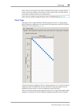*Note: If two or more latencies exist within a CobraNet network, there is a danger that the devices may become unable to communicate correctly with each other. You must make the same latency setting for all devices in a single network.*

*Note: If you are unable to change the latency, refer to Troubleshooting (see [page 38](#page-37-3)).*

# <span id="page-19-0"></span>**Patch Page**

This page is used to assign individual CobraNet channels to ACU16-C analog outputs. Before making any assignments, you must specify the bundles that contain the CobraNet channels you want to patch (see [page 19\)](#page-18-1).



CobraNet channels are assigned to ACU16-C analog outputs on a 16 x 32 grid. To make an assignment, click on the grid at the relevant intersection. A blue spot appears when an assignment has been made. To cancel an assignment, click the blue spot.

Only one CobraNet channel can be assigned to each ACU16-C output. The bundle number assigned to each group of CobraNet channels is displayed along the left side of the grid.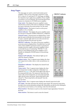# <span id="page-20-0"></span>**Amp Pages**

The Amp pages are used to control and monitor power amplifiers. There are four Amp pages: Amp 00–07, Amp 08–15, Amp 16–23, and Amp 24–31. Each page can display the channels of up to eight power amplifiers. Power amplifiers can have 2, 4, 6, or 8 channels. The screen shot shown here features two channels of a PC9500N power amplifier.

**Amp name:** This displays the power amplifier's name. Only the first 21 letters of the name are displayed. To display the name in full, place the mouse pointer over the name.

**POWER button:** This button is used to set the power amplifier to On or Standby.

**Mode indicator:** This displays the power amplifier mode for each pair of channels: STEREO, PARALLEL, or BRIDGE.

**Channel name:** Channel names are displayed here. To display the name in full, place the mouse pointer over the name. To name a channel, right-click its icon in the network tree and choose Rename from the pop-up menu.

**PROTECT indicator:** The status of the power amplifier's protection system is displayed here. Normally there's no indication. If the amplifier's protection system is activated, for example, the power supply to the power amplifier's driver section fails because of overheating, "PROTECT" is displayed. It's also displayed if the power amplifier is set to Standby by clicking the POWER button in NetworkAmp Manager.

**Output CLIP indicator:** This indicator lights up red when the channel is clipping.

**Output meter:** This 12-segment meter displays the channel's output level in either watts or volts (see preference on [page 8](#page-7-0)).

**Impedance indicator:** This displays the channel's load impedance.

**Temp meter:** This 12-segment meter displays the channel's temperature in either centigrade or Fahrenheit (see preference on [page 8](#page-7-0)). The value on the right of the meter is the temp peak hold value. The numerical value below the meter is the current temperature. To reset peak temp hold, right-click the meter and choose "Reset temp hold on this channel" or "Reset temp hold on all channels" from the pop-up menu.

**PROTECT indicator**



**Input meter:** This 12-segment meter displays the channel's input level in dB.

**ATT fader:** This fader attenuates the channel's input signal. The numerical value below the fader is the current attenuation setting in dB. Attenuation can also be set by clicking the Up and Down arrow buttons, or by entering a value from the keyboard.

**Phase button:** This button is used to set the channel's input signal phase: Normal or Reversed.

**Mute button:** This button is used to mute the channel.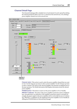# <span id="page-21-0"></span>**Channel Detail Page**

The Channel Detail page offers a detailed view of each channel. It can be opened by clicking the Channel Detail tab while an ACU16-C is selected in the network tree, or by clicking a power amplifier channel icon in the network tree.



**PROTECT indicator**

> **Channel select:** This section is used to select the power amplifier channel that you want to view. Use the Amp pop-up menu to select a power amplifier. Use the CH pop-up menu to select a channel. The names of the selected amplifier and channels are displayed next to the pop-up menus. The Model information field displays information about the selected power amplifier.

**POWER button:** This button is used to set the power amplifier to On or Standby.

**PROTECT indicator:** The status of the power amplifier's protection system is displayed here. Normally there's no indication. If the amplifier's protection system is activated, for example, the power supply to the power amplifier's driver section fails because of overheating, "PROTECT" is displayed. It's also displayed if the power amplifier is set to Standby by clicking the POWER button in NetworkAmp Manager.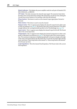**Mode indicator:** This displays the power amplifier mode for each pair of channels: STE-REO, PARALLEL, or BRIDGE.

**ATT fader:** This fader attenuates the channel's input signal. The numerical value below the fader is the current attenuation setting in dB. Attenuation can also be set by clicking the Up and Down arrow buttons, or by entering a value from the keyboard.

Phase button: This button is used to set the channel's input signal phase: Normal or Reversed.

**Mute button:** This button is used to mute the channel.

**Output meter:** This 12-segment meter displays the channel's output level in either watts of volts (see preference on [page 8](#page-7-0)). The Present value is the current output level. The yellow triangle indicates the warning threshold specified on the Threshold page (see [page 24\)](#page-23-0).

**Input meter:** This 12-segment meter displays the channel's input level in dB. The Present value is the current input level.

**Temperature:** This 12-segment meter displays the channel's temperature in either centigrade or Fahrenheit (see preference on [page 8\)](#page-7-0). The Present value is the current temperature. The maximum temperature is displayed graphically by the green triangle at the right of the meter, and numerically by the Max hold value. To reset the max hold, right-click the meter and choose "Reset temp hold on this channel" or "Reset temp hold on all channels" from the pop-up menu.

**Load impedance:** This is the channel's load impedance. The Present value is the current load impedance.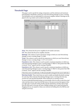# <span id="page-23-0"></span>**Threshold Page**

This page is used to specify the wattage, temperature, and the minimum and maximum load impedance thresholds at which you want NetworkAmp Manager to issue a warning. The thresholds can be set individually for each power amplifier channel. Warnings are displayed in the Log window and recorded in the log file.

| ACU - ACU16-C [00] |                                                                                               |                |                          |    |              |          |                                  |                               |              |              |                       |  |
|--------------------|-----------------------------------------------------------------------------------------------|----------------|--------------------------|----|--------------|----------|----------------------------------|-------------------------------|--------------|--------------|-----------------------|--|
|                    | CobraNet   Patch   Amp 00-07   Amp 08-15   Amp 16-23   Amp 24-31   Channel Detail   Threshold |                |                          |    |              |          |                                  |                               |              |              |                       |  |
|                    | AMP                                                                                           |                |                          | CH | Wattage [W]  | Temp[9]  | Impedance<br>max[ <sub>G</sub> ] | Impedance<br>$min[$ $\bigcap$ | Amp          |              | Warning Enable<br>Amp |  |
| No. Name           |                                                                                               |                | No. Name                 |    |              |          |                                  |                               |              |              |                       |  |
| 00 PC9500N         |                                                                                               |                | Channel A                |    | 2200         | 80       | 100                              | 1.0                           | $\nabla$ #00 |              | $\Box$ #16            |  |
|                    |                                                                                               | $\overline{2}$ | Channel B                |    | 2200         | 80       | 100                              | 1.0                           | $\nabla$ #01 |              | $\Box$ #17            |  |
| 01 PC9500N         |                                                                                               | $\mathbf{1}$   | Channel A<br>2 Channel B |    | 2200<br>2200 | 80<br>80 | 100<br>100                       | 1.0<br>1.0                    |              |              | $\Box$ #02 $\Box$ #18 |  |
|                    |                                                                                               |                |                          |    |              |          |                                  |                               |              |              | $\Box$ #03 $\Box$ #19 |  |
|                    |                                                                                               |                |                          |    |              |          |                                  |                               | $\Gamma$ #04 |              | $\Box$ #20            |  |
|                    |                                                                                               |                |                          |    |              |          |                                  |                               |              |              |                       |  |
|                    |                                                                                               |                |                          |    |              |          |                                  |                               |              |              | $\Box$ #05 $\Box$ #21 |  |
|                    |                                                                                               |                |                          |    |              |          |                                  |                               |              | $\Gamma$ #08 | $\Gamma$ #22          |  |
|                    |                                                                                               |                |                          |    |              |          |                                  |                               |              |              | □ #07 □ #29           |  |
|                    |                                                                                               |                |                          |    |              |          |                                  |                               |              |              | $\Box$ #08 $\Box$ #24 |  |
|                    |                                                                                               |                |                          |    |              |          |                                  |                               |              |              | $\Box$ #09 $\Box$ #25 |  |
|                    |                                                                                               |                |                          |    |              |          |                                  |                               |              |              | $\Box$ #10 $\Box$ #26 |  |
|                    |                                                                                               |                |                          |    |              |          |                                  |                               |              |              | $\Box$ #11 $\Box$ #27 |  |
|                    |                                                                                               |                |                          |    |              |          |                                  |                               |              |              | $\Box$ #12 $\Box$ #28 |  |
|                    |                                                                                               |                |                          |    |              |          |                                  |                               |              |              | $\Box$ #13 $\Box$ #29 |  |
|                    |                                                                                               |                |                          |    |              |          |                                  |                               |              |              | $\Box$ #14 $\Box$ #30 |  |
|                    |                                                                                               |                |                          |    |              |          |                                  |                               |              |              | $\Box$ #15 $\Box$ #31 |  |
|                    |                                                                                               |                |                          |    |              |          |                                  |                               |              |              |                       |  |
|                    |                                                                                               |                |                          |    |              |          |                                  |                               |              |              |                       |  |

**Amp:** This column lists the power amplifiers by ID number and name.

**CH:** This column lists the power amplifier channels.

**Wattage:** This column is used to specify the wattage at which you want NetworkAmp Manager to issue a warning. Range: 1.6–4000.

**Temp:** This column is used to specify the temperature at which you want NetworkAmp Manager to issue a warning. Range: 1–127˚C or 34–261˚F.

**Impedance max:** This column is used to specify a maximum impedance at which you want NetworkAmp Manager to issue a warning. Range:  $0-50Ω$ . If a value greater than  $50Ω$ is entered, "Never" appears and the warning is disabled.

**Impedance min:** This column is used to specify a minimum impedance at which you want NetworkAmp Manager to issue a warning. Range: 0–50Ω. If a value greater than 50Ω is entered, "Never" appears and the warning is disabled.

*Note: If you enter an invalid value, it will automatically be changed to the nearest valid value.*

**Warning Enable:** These check boxes are used to enable and disable threshold warnings for each amp. When selected, NetworkAmp Manager issues a warning when the amp exceeds one of the specified thresholds. When unselected, no warning is issued.

To copy an individual threshold setting, you must double-click it in order to select the actual value, and then choose Copy from the Edit menu or the pop-up menu that appears when you right-click. To paste the setting, double-click the destination, and then choose Paste from the Edit menu or the pop-up menu. Multiple settings can be copied and pasted by dragging and you can expand or reduce your selection by holding down the Shift key and using the arrow keys.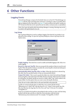# <span id="page-24-0"></span>**6 Other Functions**

# <span id="page-24-1"></span>**Logging Events**

NetworkAmp Manager compares the threshold values set on the ACU Threshold page (see [page 24](#page-23-0)) with the amp's operating status and issues a warning if a value is exceeded. Warnings are displayed in the Log window (see [page 29](#page-28-0)) and recorded to the log file. Log files are CSV format text files that can be opened by any text editor, word processor, or spreadsheet.

*Note: Don't open the log file while NetworkAmp Manager is running. Warnings may not be recorded to the log file properly if you do.*

#### **Log Setup**

The Log Setup dialog box is used to configure logging. Note that the Log window is not affected by these settings. To open the Log Setup dialog box, choose Log Setup from the Option menu.

| <b>Log Setup</b>                                     |
|------------------------------------------------------|
| <b>▽</b> Enable logging                              |
| Becord<br>days per log file                          |
| 90<br>Ⅳ Automatically delete log files after<br>days |
| Output file folder:                                  |
| C:\My Documents\rm\Log<br><b>Browse</b>              |
| <br>Cancel                                           |

**Enable logging:** This check box is used to enable and disable logging to file. Select it to enable logging.

**Record xx days per log file:** Here you can specify the number of days to record in each log file. When the number of days is exceeded, the current log file is closed and subsequent events are recorded to a new log file.

**Automatically delete log files after xx days:** When this check box is selected, log files older than the specified number of days are automatically deleted.

**Output file folder:** This is used to specify the folder into which NetworkAmp Manager stores its log files. It also determines the folder that the automatic delete function searches for old log files. By default, log files are stored in a folder called "Log," which resides in the project folder. Use this option when you want to store the log file elsewhere.

*Note: Be sure to select a folder that's on the same hard disk as the project file.*

Log files are named using the date on which they were created with the format "ddmmmyyyy.csv", where "dd" is the day from 01 to 31, "mmm" is the month (Jan, Feb, Mar,Apr, May, Jun, Jul, Aug, Sep, Oct, Nov, Dec), and "yyyy" is the year. For example, "01Aug2002.csv".

Events are recorded in the log file in chronological order one line at a time, each line being prefixed with the date and time at which the event took place with the format "dd/mmm/yyyy, hour:minute:second". For example, "01/Aug/2002, 21:30:25".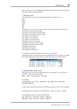There are five types of event: Warning, Online/Offline Status, Power Switch, Error, and Network Mode. These are explained below.

#### **1 Warning Event**

This type of event occurs when a specified threshold is exceeded (see [page 24](#page-23-0)).

Date Time Type ACU Amp  $Ch$ PTWSO (protect, over temp, over wattage, speaker terminal short, speaker terminal open) CurrVpre (current pre-fader voltage) CurrVsp (current speaker terminal voltage) CurrWsp (current speaker terminal wattage) CurrImp (current impedance) CurrClip (current clipping) CurrTemp (current temperature) LastVpre (last pre-fader voltage) LastVsp (last speaker terminal voltage) LastWsp (last speaker terminal wattage) LastImp (last impedance) LastClip (last clipping) LastTemp (last temperature)

For clarity, the parameters listed above are shown on separate lines.

Each Warning event is recorded in the log file, and displayed in the Log window, on a single line. Titles are displayed on the top line (i.e., Date, Time, Type, etc), as shown below.

| <b>Warning Log</b> |                           |             |  |                                  |  |
|--------------------|---------------------------|-------------|--|----------------------------------|--|
| Date               | Time                      | <b>Type</b> |  | Acu Amp Ch. PTWSO CurrV) -       |  |
|                    | 3-Nov-02 14:15:10 Warning |             |  | $00 \t 02 \t 1 [--*--]$          |  |
|                    | 3-Nov-02 14:40:02 Warning |             |  | $14$ 23 2 $\left[\right.$ **---1 |  |
|                    | 3-Nov-02 14:41:36 Warning |             |  | $07$ 10 1 [---*-]                |  |
|                    | 3-Nov-02 14:41:53 Warning |             |  | $07$ 10 1 [---*-]                |  |
|                    |                           |             |  |                                  |  |

#### **2 Online/Offline Status Event**

This type of event occurs when a networked device comes online (e.g., a new device is detected) or when a device goes offline.

Date, Time, Detect&Lost, Message

#### For example:

01/Aug/2002, 21:30:25, Detected, New amplifier detected [ACU#00 AMP#00]

In other words, amp #00, connected to ACU #00, came online at 21:30:25 on 01/Aug/2002.

The Detect&Lost variable can be: Detected (i.e., online) or Lost (i.e., offline)

The Message variable can be any of the following:

New amplifier detected [ACU#xx AMP#yy] Amplifier gone offline [ACU#xx AMP#yy]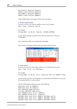```
New ACU16-C detected [ACU#xx]
ACU16-C gone offline [ACU#xx]
New NHB32-C detected [NHB#xx]
NHB32-C gone offline [NHB#xx]
```
Online/Offline Status events appear in blue in the Log window.

#### **3 Power Switch Event**

This type of event occurs when an amplifier is set to On or Standby. Date, Time, LineKind, Device

```
For example:
```
01/Aug/2002, 21:30:25, PowerOn, [ACU#00 AMP#00]

In other words, amp #00, connected to ACU #00, was turned on at 21:30:25 on 01/Aug/2002.

The LineKind variable can be: PowerOn or Standby

Power Switch events appear in blue in the Log window, as shown below.

| Warning Log      |                   |                   |             |    |                                                    |                      |
|------------------|-------------------|-------------------|-------------|----|----------------------------------------------------|----------------------|
| Date             | Time              | Type              |             |    | ACU AMP Ch PTWSO                                   | $CurrVf$ $\triangle$ |
|                  | 3-Nov-02 14:15:10 | Warning           | 00          | 02 | $1$ [ $-$ * $-$ ]                                  | $+20$                |
| $3 - Nov - 02$   | 14:40:02 Warning  |                   |             |    | $14$ 23 2 $\left\lfloor \frac{1}{2} \right\rfloor$ |                      |
| $3 - Nov - 02$   | 14:41:36 Warning  |                   | 07 10       |    | $1$ [---*-]                                        | +3                   |
| $3 - Nov - 02$   | 14:41:53 Warning  |                   | 07          | 10 | $1$ [ $---$ * $-1$ ]                               | $+6.$                |
| $3-Nov-02$       | 14:45:10 PowerOn  |                   | ACU00 AMP08 |    |                                                    |                      |
| $3 - Nov - 02$   |                   | 14:51:10 PowerOff | NHB01       |    |                                                    |                      |
| $3 - Nov - 02$   | 15:01:12 Ennor    |                   |             |    | Duplicate Unit ID (NHB3)                           |                      |
| $3 - N$ ov $-02$ | 16:13:24 Error    |                   |             |    | COM/MIDI Mode Conflict                             |                      |
| $3 - Nov - 02$   | 17:24:53 Ennon    |                   |             |    | Too Many COM/MIDI Mode                             |                      |
| $3 - Nov - 02$   | 17:24:59 Ennon    |                   |             |    | EEPROM Access Ennon (AC                            |                      |

#### **4 Error Event**

This type of event occurs when either a system error or parameter error occurs. Date, Time, Error, ErrorMessage

#### For example:

01/Aug/2002, 21:30:25, Error, Duplicate Unit ID (NHB32-C:#00)

In other words, at 21:30:25 on 01/Aug/2002, it was detected that NHB #00 is set to the same ID as another NHB32-C on the network.

The ErrorMessage variable can be any of the following: Duplicate Unit ID [NHB#xx] Duplicate Unit ID [ACU#xx] Unit COM/MIDI Mode Conflict! Too Many COM/MIDI Mode Units! Unit EEPROM Access Error! [NHB#xx] Unit EEPROM Access Error! [ACU#xx] AES/EBU Input Sync Error [NHB#xx AES/EBUx CH1/2] AES/EBU Input Sync Error [NHB#xx AES/EBUx CH3/4] AES/EBU Input Sync Error [NHB#xx AES/EBUx CH5/6]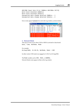```
AES/EBU Input Sync Error [NHB#xx AES/EBUx CH7/8]
Word Clock Unlocked [NHB#xx]
Word Clock Unlocked [ACU#xx]
Unexpected data change detected [NHB#xx...]
Unexpected data change detected [ACU#xx...]
```
Error events appear highlighted in red in the Log window, as shown below.

| <b>Warning Log</b> |                            |      |       |             |                          |                      |
|--------------------|----------------------------|------|-------|-------------|--------------------------|----------------------|
| Date               | Time                       | Type |       |             | Acu Amp Ch. PTWSO        | $CurrVf$ $\triangle$ |
|                    | 3-Nov-02 14:15:10 Warning  |      |       | 00 02       | $1[- - - - -]$           | $+20$                |
|                    | 3-Nov-02 14:40:02 Warning  |      |       | 14 23       | $2$ [**---]              |                      |
|                    | 3-Nov-02 14:41:36 Warning  |      | 07    | 10          | 1 $[- - - \kappa - ]$    |                      |
|                    | 3-Nov-02 14:41:53 Warning  |      | 07    | 10          | $1$ [ $---$ *-]          | $+6.3$               |
|                    | 3-Nov-02 14:45:10 PowerOn  |      |       | ACU00 AMPOS |                          |                      |
|                    | 3-Nov-02 14:51:10 PowerOff |      | NHB01 |             |                          |                      |
|                    | 3-Nov-02 15:01:12 Error    |      |       |             | Duplicate Unit ID (NHB32 |                      |
|                    | 3-Nov-02 16:13:24 Error    |      |       |             | COM/MIDI Mode Conflict   |                      |
|                    | 3-Nov-02 17:24:53 Ennon    |      |       |             | Too Many COM/MIDI Mode   |                      |
|                    | 3-Nov-02 17:24:59 Error    |      |       |             | EEPROM Access Ennon (AC) |                      |

#### **5 Network Mode**

This type of event occurs when COM or MIDI is activated or deactivated. Date, Time, NetMode, Mode

For example: 01/Aug/2002, 21:30:25, NetMode, Mode = COM

In other words, COM mode was engaged at 21:30:25 on 01/Aug/2002.

The Mode variable can be: COM, MIDI, or NORMAL Network Mode events appear in blue in the Log window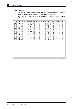### <span id="page-28-0"></span>**Log Window**

The Log window opens automatically, if it's not already, when an event occurs. This window can also be opened by choosing Log Window from the Window menu.

Each time an event occurs, the details are displayed in the window, which scrolls automatically.

| PTWS0<br>CurrVsp<br>CurrWsp<br>CurrImp CurrClip CurrTemp LastVpre<br>LastVsp<br>LastWsp<br>Date<br>Time<br>Type Acu Amp Ch<br>CurrVpre<br>LastImp LastClip LastTemp<br>68.22<br>6.0<br>03/Nov/2002<br>14:15:10<br>Warning<br>00<br>02<br>$--+--$<br>$+20.0$<br>71.05<br>841.3<br>6.0<br>CLIP<br>42C<br>$+20.0$<br>775.6<br>CL IP<br>41C<br>-1<br>14:40:02<br>$\overline{2}$<br>[**---<br>70.90<br>837.8<br>03/Nov/2002<br>Warning<br>14<br>23<br>0<br>$\mathbf{0}$<br>6.0<br>86C<br>$+14.5$<br>6.0<br>85C<br>$\mathbf{0}$<br>03/Nov/2002<br>14:41:36<br>07<br>'---∗-'<br>$+3.20$<br>14.20<br>1.5<br>700<br>$+6.30$<br>29.81<br>444.3<br>2.0<br>69C<br>Warning<br>10<br>134.3<br>-1<br>03/Nov/2002<br>14:41:53<br>l---*-<br>$+6.20$<br>29.44<br>72C<br>420.9<br>2.2<br>72C<br>Warning<br>07<br>10<br>619.8<br>1.4<br>$+6.30$<br>30.43<br>-1<br>[----*<br>38C<br>39C<br>03/Nov/2002<br>14:45:10<br>Warning<br>$_{03}$<br>16<br>$+0.00$<br>24.00<br>4.026<br>143<br>$+0.00$<br>24.00<br>48.00<br>12.0<br>-1<br>03/Nov/2002<br>14:51:10<br>00<br>02<br>[--*--<br>CLIP<br>42C<br>68.22<br>775.6<br>6.0<br>CLIP<br>41C<br>Warning<br>$+20.0$<br>71.05<br>841.3<br>6.0<br>$+20.0$<br>-1<br>03/Nov/2002<br>15:01:12<br>14<br>$\overline{\mathbf{2}}$<br>**---<br>86C<br>70.90<br>837.8<br>85C<br>Warning<br>23<br>$\mathbf{0}$<br>0<br>$\mathbf{0}$<br>6.0<br>$+14.5$<br>6.0<br>03<br>16<br>'--*-*<br>$+16.6$<br>76C<br>76C<br>03/Nov/2002<br>16:13:24<br>67.20<br>0.926<br>>7K<br>CLIP<br>$+18.3$<br>852.5<br>6.0<br>CLIP<br>Warning<br>$\mathbf{1}$<br>71.52<br>03/Nov/2002<br>17:24:53<br>72C<br>07<br>'---*-<br>$+6.20$<br>29.44<br>619.8<br>72C<br>$+6.30$<br>30.43<br>420.9<br>2.2<br>Warning<br>10<br>1.4<br>-1<br>03/Nov/2002<br>17:24:59<br>[-*---<br>Warning<br>14<br>23<br>$\mathbf 2$<br>6.0<br>840<br>70.90<br>837.8<br>6.0<br>83C<br>$\theta$<br>n<br>$\mathbf{0}$<br>$+14.5$<br><b>[---*-</b><br>$+3.20$<br>700<br>69C<br>03/Nov/2002<br>17:31:30<br>07<br>10<br>14.20<br>134.3<br>$+6.30$<br>29.81<br>444.3<br>2.0<br>Warning<br>$\mathbf{1}$<br>1.5<br>03/Nov/2002<br>03/Nov/2002<br>17:48:51<br>$\frac{690}{520}$<br>[---*-]<br>$+3.20$<br>14.20<br>134.3<br>1.5<br>70C<br>$+6.30$<br>29.81<br>444.3<br>2.0<br>Warning<br>07<br>10<br>1<br>18:45:10<br>$\boldsymbol{2}$<br>'-------<br>67.20<br>500<br>Warning<br>09<br>04<br>$+16.6$<br>0.106<br>>7K<br><b>CLIP</b><br>$+18.3$<br>71.52<br>0.125<br>>7K<br>CLIP<br>03/Nov/2002<br>18:45:10<br>02<br>'----*<br>33.20<br>>7K<br>>7K<br>52C<br>04<br>0.113<br><b>50C</b><br>$+15.3$<br>65.52<br>0.095<br>Warning<br>$+10.1$<br>-1                                                                                                                                                         | $  $ $\theta$ $ $ $\times$ |     |  |         |  |          |                                                  |
|---------------------------------------------------------------------------------------------------------------------------------------------------------------------------------------------------------------------------------------------------------------------------------------------------------------------------------------------------------------------------------------------------------------------------------------------------------------------------------------------------------------------------------------------------------------------------------------------------------------------------------------------------------------------------------------------------------------------------------------------------------------------------------------------------------------------------------------------------------------------------------------------------------------------------------------------------------------------------------------------------------------------------------------------------------------------------------------------------------------------------------------------------------------------------------------------------------------------------------------------------------------------------------------------------------------------------------------------------------------------------------------------------------------------------------------------------------------------------------------------------------------------------------------------------------------------------------------------------------------------------------------------------------------------------------------------------------------------------------------------------------------------------------------------------------------------------------------------------------------------------------------------------------------------------------------------------------------------------------------------------------------------------------------------------------------------------------------------------------------------------------------------------------------------------------------------------------------------------------------------------------------------------------------------------------------------------------------------------------------------------------------------------------------------------------------------------------------------------------------------------------------------------------------------------------------------------------------------------------------------------------------------------------------------------------------------------------------------------------------------------|----------------------------|-----|--|---------|--|----------|--------------------------------------------------|
| Warning<br>07<br>10<br>$--+$<br>29.44<br>619.8<br>$+6.30$<br>30.43<br>420.9<br>2.2<br>1.4<br>1<br>05<br>$\boldsymbol{2}$<br>[----*<br>4.026<br>38C<br>12.0<br>39C<br>18:55:10<br>Warning<br>06<br>$+0.00$<br>24.00<br>143<br>$+0.00$<br>24.00<br>48.00<br>03/Nov/2002<br>19:02:19<br>--*--<br>CLIP<br>CLIP<br>09<br>02<br>841.3<br>6.0<br>42C<br>68.22<br>775.6<br>6.0<br>41C<br>Warning<br>$\mathbf{1}$<br>$+20.0$<br>71.05<br>$+20.0$<br>03/Nov/2002<br>03/Nov/2002<br>19:10:32<br>$\overline{2}$<br>-----<br>86C<br>837.8<br>85C<br>Warning<br>14<br>23<br>6.0<br>$+14.5$<br>70.90<br>6.0<br>$\bf{0}$<br>$\mathbf{0}$<br>n<br>76C<br>76C<br>852.5<br>19:16:40<br>11<br>'--*-*<br>67.20<br>>7K<br>$+18.3$<br>71.52<br>6.0<br>CLIP<br>Warning<br>16<br>$\overline{1}$<br>$+16.6$<br>0.926<br>CLIP<br>03/Nov/2002<br>$\frac{2}{2}$<br>'---*-<br>72C<br>$+6.30$<br>2.2<br>72C<br>19:21:51<br>01<br>07<br>$+6.20$<br>29.44<br>619.8<br>30.43<br>420.9<br>Warning<br>1.4<br>03/Nov/2002<br>19:40:09<br>23<br>$-8 - - -$<br><b>84C</b><br>70.90<br>837.8<br>6.0<br>83C<br>Warning<br>14<br>0<br>0<br>0<br>6.0<br>$+14.5$<br>ž<br>03/Nov/2002<br>02<br>52C<br>19:45:10<br>04<br>67.20<br><b>50C</b><br>Warning<br>$--*$<br>$+16.6$<br>0.106<br>>7K<br>CLIP<br>$+18.3$<br>71.52<br>0.125<br>>7K<br>CLIP<br>03/Nov/2002<br>02<br>04<br>'----*<br>33.20<br>0.113<br>>7K<br><b>50C</b><br>65.52<br>0.095<br>>7K<br><b>52C</b><br>19:51:02<br>Warning<br>$\mathbf{1}$<br>$+10.1$<br>$+15.3$<br>: ـ ـ ـ ـ ـ ـ ـ ـ<br>03/Nov/2002<br>19:55:31<br>23<br>$\boldsymbol{2}$<br>840<br>$+14.5$<br>70.90<br>837.8<br>83C<br>Warning<br>14<br>$\bf{0}$<br>0<br>$\bf{0}$<br>6.0<br>6.0<br>03/Nov/2002<br>$\overline{2}$<br>19:55:31<br>02<br><b>50C</b><br>71.52<br>>7K<br>52C<br>04<br>'----∗'<br>$+16.6$<br>67.20<br>>7K<br>CLIP<br>$+18.3$<br>0.125<br>CLIP<br>Warning<br>0.106<br>03/Nov/2002<br><b>52C</b><br>19:55:31<br>02<br>04<br>$\mathbf{1}$<br><br>33.20<br>0.113<br>>7K<br>500<br>$+15.3$<br>65.52<br>0.095<br>>7K<br>Warning<br>$+10.1$<br>2<br>52C<br>03/Nov/2002<br>19:55:33<br>Warning<br>02<br>04<br>[----*]<br>67.20<br>0.106<br>>7K<br>CLIP<br><b>50C</b><br>$+18.3$<br>71.52<br>0.125<br>>7K<br>CLIP<br>$+16.6$<br>03/Nov/2002<br>19:59:42<br>02<br>----*<br>>7K<br>>7K<br><b>52C</b><br>04<br>33.20<br><b>50C</b><br>$+15.3$<br>65.52<br>0.095<br>Warning<br>$\mathbf{1}$<br>0.113<br>$+10.1$<br>03/Nov/2002<br>$\frac{2}{2}$<br>'-s---'<br>20:01:03<br>Warning<br>14<br>23<br>840<br>$+14.5$<br>70.90<br>837.8<br>83C<br>$\bf{0}$<br>$\theta$<br>6.0<br>6.0<br>0<br>02<br>67.20<br>CLIP<br>CLIP<br>03/Nov/2002<br>20:15:20<br>Warning<br>04<br>$[- - - 8]$<br>$+16.6$<br>0.106<br>>7K<br><b>50C</b><br>$+18.3$<br>71.52<br>0.125<br>>7K<br>52C | 72C                        | 72C |  | $+6.20$ |  | 18:51:13 | <b>Warning Log</b><br>03/Nov/2002<br>03/Nov/2002 |
| Close                                                                                                                                                                                                                                                                                                                                                                                                                                                                                                                                                                                                                                                                                                                                                                                                                                                                                                                                                                                                                                                                                                                                                                                                                                                                                                                                                                                                                                                                                                                                                                                                                                                                                                                                                                                                                                                                                                                                                                                                                                                                                                                                                                                                                                                                                                                                                                                                                                                                                                                                                                                                                                                                                                                                             |                            |     |  |         |  |          |                                                  |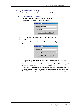## <span id="page-29-0"></span>**Locking NetworkAmp Manager**

You can lock NetworkAmp Manager to prevent unauthorized operation.

#### **Locking NetworkAmp Manager**

#### **1 Choose Operation Lock from the Option menu.**

The Operation Lock dialog box shown below appears.

| <b>Operation Lock</b> |  |
|-----------------------|--|
| Password:  ********   |  |
| Confirm:              |  |
| Cancel<br>Lock        |  |

**2 Enter a password in the Password and Confirm fields.**

#### **3 Click Lock.**

NetworkAmp Manager is locked and the Operation Unlock dialog box appears, as shown below.

| <b>Operation unlock</b> |        |
|-------------------------|--------|
| Password:               |        |
| Confirm                 |        |
| UnLock                  | Cancel |

#### **4 To unlock NetworkAmp Manager, enter the password in the Password field, and then click Unlock.**

When you enter the correct password and click "Unlock," the NetworkAmp Manager will be unlocked, and the "Operation Unlock" dialog box will close.

The password you assign is saved in a text file in the same folder as the folder in which NetworkAmp Manager is installed. If you forget the password, delete the password file, and then click Unlock, making sure that the Password and the Confirm fields are empty.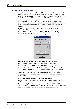# <span id="page-30-0"></span>**Using COM & MIDI Modes**

CobraNet's Serial Bridge feature allows serial data to be transmitted over the network. Normally, the ACU16-C and NHB32-C use the Serial Bridge to transmit amp control data. However, it can be used to transmit MIDI data (Program Change and Control Change) or AD824 head amp control data between any two NHB32-Cs on the network.

The Serial Bridge cannot carry Amp Control, MIDI, and AD824 data simultaneously. While MIDI mode is active, Amp Control data is not transmitted and only communications between the MIDI ports of the two specified NHB32-Cs takes place. Likewise, while COM mode is active, only communications between the COM ports of the two specified NHB32-Cs takes place.

Hookup examples featuring MIDI and COM modes are provided in the printed *ACU16-C/NHB32-C Owner's Manual.*

**1 To use MIDI or COM mode, choose COM/MIDI Mode from the Option menu.** The COM/MIDI Mode dialog box shown below appears.

| <b>COM/MIDI mode</b>                                                                |  |
|-------------------------------------------------------------------------------------|--|
| Select source and destination.                                                      |  |
| $\blacksquare$ NHB #00<br>$\overline{\mathbf{r}}$<br><b>NHB #01</b><br>$\mathbb{F}$ |  |
| Connect mode<br>MIDI<br><b>COM</b>                                                  |  |
| Deactivate COM/MIDI mode                                                            |  |
| Disconnect from network                                                             |  |
| `lose                                                                               |  |

**2 Use the pop-up menus to select two NHB32-Cs on the network.**

If both NHB32-Cs are online, the COM and MIDI buttons become available.

#### **3 Click COM to engage COM mode, click MIDI to engage MIDI mode.**

The selected mode is activated and all other NetworkAmp Manager functions are inactive. The COM/MIDI Mode dialog box remains open while COM or MIDI mode is active.

#### **4 To cancel COM or MIDI mode, click Deactivate COM/MIDI mode.**

Click Disconnect from network to disconnect from the network without cancelling the COM or MIDI mode.

#### **5 Click Close to close the COM/MIDI Mode dialog box.**

If the Close button is unavailable, cancel COM or MIDI mode, or disconnect from the network.

If you are running NetworkAmp Manager on several PCs, while COM or MIDI mode is active, the COM/MIDI Mode dialog box appears on all PCs and all control and monitoring functions are disabled. COM or MIDI mode can be cancelled from any PC.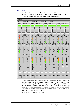# <span id="page-31-0"></span>**Group View**

With Group View you can view and control groups of channels from any amplifiers on the network. There are eight group pages and up to 16 channels can be displayed on each. To open the Group View page, choose Group View from the View menu.

GroupView Group 1 | Group 2 | Group 3 | Group 4 | Group 5 | Group 6 | Group 7 | Group 8 | **PC9500 PC9500**  $PC9500$  $PC9500$ **PC9500 PC9500 PC9500 PC9500 PC9500 PC9500 PC9500 PC9500** ÖN ÖN ON ON ON ON ON ON ON ON ON ON STEREO STEREO STEREO STEREO STEREO STEREO STEREO STEREO STEREO STEREO STEREO STEREO entranc Channe Channe Channe Channe gakuya, gakuya, gakuya, howaie, howaie, howaie, howaie  $\overline{2}$  $\overline{2}$  $\overline{2}$  $\overline{2}$  $\overline{2}$  $\overline{2}$  $\overline{\mathbf{1}}$ Output(W)  $\overline{\text{Output(W)}}$ Output(W)  $\overline{Output(W)}$ Output(W) Output(W) Output(W)  $\overline{Output(W)}$  $\overline{Output(W)}$ Output(W) Output(W) Output(W)  $@$  CLIP  $@$  CLIP **OD** CLIP **OD** CLIP  $Q$  CLIP  $@$  CLIP **O** CLIP **OD** CLIP **CD** CLIP  $@$  CLIP **OD** CLIP **O** CLIP 2400 2400 2400 2400 2400 2400 2400 2400 2400 2400 2400 2400 900 900 900 900 900 900 900 900 900 900 900 900 300 300 300 300 300 300 300 300 300 300 300 300 50 50 50 50 50 50 50 50 50 50 50 50 s  $\overline{\mathbf{S}}$  $\overline{\mathbf{S}}$ **c** × **c**  $\mathbf{r}$  $\mathbf{r}$ Impedance **Impedance** Impedance Impedance Impedance Impedance Impedance Impedance Impedance Impedance Impedance Impedance  $\sqrt{7.5}$   $\Omega$  $\sqrt{7.5}$   $\Omega$  $\sqrt{8.5}$   $\Omega$  $\sqrt{5.5}$   $\Omega$  $\sqrt{6.5}$   $\Omega$  $\sqrt{7.5}$   $\Omega$  $\sqrt{5.5}$   $\Omega$  $\sqrt{8.5}$   $\Omega$  $\sqrt{8.5}$   $\Omega$  $\sqrt{8.5}$   $\Omega$  $\sqrt{6.5}$   $\Omega$  $\sqrt{5.5}$   $\Omega$ **Temp Temp Temp** Temp **Temp Temp** Temp  $Temp$ Temp Temp Temp Temp 120 120 120 120 120 120 120 120 120 120 120 120 80 -<br>-<br><89 33 33 80 80 80 <89 80 **RES** 80 **RES** 80 80 80 80 80 80 kas **E**<89 30 30 30 30 40  $\overline{40}$ 40 40 40 40  $40$ 40 40 40 40 40 10 10 10 10 10 10 10 10 10 10 10 10  $\sqrt{63}$   $\degree$ C  $\sqrt{52}$  °C  $\sqrt{52}$   $\degree$ C  $\sqrt{63}$   $\degree$ C  $\sqrt{64}$  °C  $\sqrt{52}$   $\degree$ C  $\sqrt{52}$  °C  $\sqrt{64}$  °C  $\sqrt{64}$  °C  $52$ °C  $\sqrt{12}$  C  $\sqrt{63}$   $\degree$ C Input(dB) Input(dB) Input(dB) Input(dB) Input(dB) Input(dB) Input(dB) Input(dB) Input(dB) Input(dB) Input(dB) Input(dB) OVER .<br>VEF **OVER** 0VER over .<br>VER .<br>VER over .<br>VEF 0VER 0VER 0VER 11 16 1E 16 F  $\overline{B}$  $\overline{B}$  $\overline{a}$ B  $\overline{B}$ B  $\overline{B}$  $\overline{a}$ B  $\overline{a}$  $\overline{B}$ o o o  $\mathbf{u}$ o o o o  $\mathbf{u}$ o  $\mathbf{u}$ o -8 -8 -8 -8 -8  $-8$ -8  $-8$ -8 -8 -8 -8  $-24$ -24 -24 -24 -24  $-24$ -24  $-24$  $-24$  $-24$  $-24$  $-24$ AΤT AΤΤ  $ATT$ AΤΤ AΤT AΤΤ AΤΤ AΤΤ AΤΤ AΤT AΤT AΠ . r × T  $\mathbf{I}$  $\mathbf I$  $\mathbf{I}$  $\mathbf I$  $\mathbf I$  $\div \sqrt{12}$  $+$   $\boxed{48}$  $\div$   $\boxed{48}$ ਜ਼ਿਭ ਜ਼ਭ  $+$   $\frac{1}{2}$  $\div \boxed{46}$  $+$   $\overline{}}$   $25$  $\div \sqrt{12}$  $+$   $\overline{\phantom{1}}$   $\overline{\phantom{1}}$   $\overline{\phantom{1}}$   $\overline{\phantom{1}}$ ≑⊺िं  $+10$ Phase Phase Phase Phase Phase Phase Phase Phase Phase Phase Phase Phase Normal Normal Normal Normal Normal Normal Normal Normal Normal Normal Normal Normal Mute Mute Mute Mute Mute Mute Mute Mute Mute Mute Mute **Mute** 

The eight groups are selected by clicking the tabs along the top of the page. The Network tab is used when NetworkAmp Manager is being run on several PCs. For example, if you select Group View page #1 on PC #1, providing that the Group View page (or ACU Amp page or Channel Detail page) is open on PC #2, its Network tab will display the same channels as page #1 of PC #1. In fact, all networked PCs will display the same group of channels, and you will not be able to display different groups on the other PCs. If the Group View window is not open, nothing happens on PC #2.

*See the next page for information on editing groups...*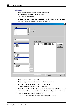### **Editing Groups**

Up to 16 channels can be added to each Group View page.

**1 Choose Group View from the View menu.**

The Group View page appears.

**2 Right-click on the page and select Edit Group View from the pop-up menu.** The Group View Setup dialog box appears, as shown below.

| Group view setup                                                                              |                                                                                      | 図                    |
|-----------------------------------------------------------------------------------------------|--------------------------------------------------------------------------------------|----------------------|
| Groups<br>Group 1<br>▲<br>Group 2<br>Group 3<br>Group 4<br>Group 5<br>Group 6                 | Move up<br>Move down                                                                 |                      |
| Group name<br>Group 1<br>ACU                                                                  | Grouped channels                                                                     |                      |
| #04 ACU16-C<br>#05 ACU16-C<br>#06 ACU16-C<br>#07 ACU16-C                                      | [#04_ACU16-C] [#02_PC9500N] #01_howaie_1<br>[#04_ACU16-C] [#02_PC9500N] #02_howaie_2 | Move up<br>Move down |
| AMP<br>#00 PC9500N<br>#01 PC9500N<br>#02 PC9500N<br>#03 PC9500N<br>#04 PC9500N<br>#05 PC9500N |                                                                                      |                      |
| CH<br>#01 howaie_3<br>#02 howaie_4                                                            | $\rightarrow$<br>⟨<br>$\ll$                                                          |                      |
|                                                                                               | OK<br>Cancel                                                                         | <b>Apply</b>         |

**3 Select a group in the Groups list.**

You can sort groups by using the Move up and Move down buttons.

- **4 Use the Group name field to edit the group's name.** This is the name that appears on the Group View page tabs.
- **5 Select the ACU16-C to which the power amplifier is connected in the ACU list.** The power amplifiers connected to the selected ACU16-C are displayed in the AMP list.

# **6 Select a power amplifier in the AMP list.** The channels of the selected power amplifier are displayed in the CH list.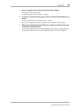#### **7 Select a channel in the CH list and click the Add [>] button.**

The channel is added to the group. To add all channels, click the Add All [>>] button.

**8 To remove a channel from the group, select it and then click the Remove [<] button.**

To remove all channels, click the Remove All [<<] button.

You can sort the grouped channels by using the Move up and Move down buttons.

**9 When you've finished, click the OK button to apply your edits and close the Group View Setup dialog box.**

If you click the Apply button, your edits are applied to the Group View and the dialog box remains open. Click Cancel to leave the settings unchanged and close the dialog box.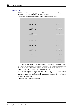# <span id="page-34-0"></span>**Control Link**

With Control Link you can group power amplifiers for simultaneous control of power Standby and On. Up to 16 Control Link groups are available.

To open the Control Link page, choose Control Link from the View menu.

| Control link             |                       |
|--------------------------|-----------------------|
| POWER A                  | POWER I               |
| STANDBY                  | STANDBY               |
| ON                       | ON                    |
| POWER B                  | POWER J               |
| STANDBY ON               | STANDBY ON            |
| POWER C                  | POWER K               |
| <b>STANDBY</b>           | STANDBY               |
| ON                       | - ON                  |
| POWER D<br>STANDBY<br>ON | POWER L<br>STANDBY ON |
| POWER E                  | POWER M               |
| STANDBY                  | STANDBY               |
| ON                       | ON                    |
| POWER F                  | POWER N               |
| <b>STANDBY</b>           | <b>STANDBY</b>        |
| ON                       | $-ON$                 |
| POWER G                  | POWER O               |
| STANDBY ON               | STANDBY ON            |
| POWER <sub>H</sub>       | POWER P               |
| <b>STANDBY</b>           | <b>STANDBY</b>        |
| ON                       | ON                    |

The STANDBY and ON buttons are unavailable when no power amplifiers are in a group or when the group is disabled. When a group is enabled, you can click the STANDBY button to simultaneously set all power amplifiers in that group to Standby mode. When an ON button is clicked, the amplifiers in that group are turned on.

When all power amplifiers in the group are in Standby mode, the STANDBY button appears depressed. When all power amplifiers in a group are on, the ON button appears depressed. If some power amplifiers in the group are in Standby mode and some are on, both buttons appear in the up position.

*See the next page for information on editing groups...*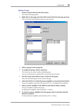### **Editing Groups**

- **1 Choose Control Link from the View menu.** The Control Link page appears.
- **2 Right-click on the page and select Edit Control Link from the pop-up menu.** The Control Link Setup dialog box appears, as shown below.

| Groups<br>POWER A<br>Move up<br>POWER B<br><b>IPOWER C</b><br>Move down<br>1power d<br>IDOUED E<br>Group name<br>POWER A<br><b>ACU</b><br>Grouped amps<br>#04 ACU16-C<br>[#04 ACU16-C] #00 PC9500N<br>#05 ACU16-C<br>[#04 ACU16-C] #01 PC9500N<br>#06 ACU16-C<br>[#04 ACU16-C] #02 PC9500N<br>#07 ACU16-C | $\vert x \vert$ |
|-----------------------------------------------------------------------------------------------------------------------------------------------------------------------------------------------------------------------------------------------------------------------------------------------------------|-----------------|
|                                                                                                                                                                                                                                                                                                           |                 |
|                                                                                                                                                                                                                                                                                                           |                 |
| AMP<br>$\mathcal{P}$<br>#03 PC9500N<br>#04 PC9500N<br>$\rightarrow$<br>#05 PC9500N<br>$\langle$<br>$\ll$                                                                                                                                                                                                  |                 |

#### **3 Select a group in the Groups list.**

#### **4 To enable the group, click its check box.**

The check boxes are used to enable and disable groups. You can sort the groups by using the Move up and Move down buttons.

- **5 Use the Group name field to enter a name for the group.** This is the name that appears on the Control Link page.
- **6 Select the ACU16-C to which the power amplifier is connected in the ACU list.** The power amplifiers connected to the selected ACU16-C are displayed in the AMP list.
- **7 Select a power amplifier in the AMP list and click the Add [>] button.** The power amplifier is added to the group. To add all power amplifiers, click the Add All [>>] button.
- **8 To remove a power amplifier from the group, select it and then click the Remove [<] button.**

To remove all power amplifiers, click the Remove All [<<] button.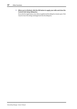## **9 When you've finished, click the OK button to apply your edits and close the Control Link Setup dialog box.**

If you click the Apply button, your edits are applied and the dialog box remains open. Click Cancel to leave the settings unchanged and close the dialog box.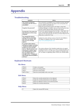# <span id="page-37-0"></span>**Appendix**

# <span id="page-37-3"></span><span id="page-37-1"></span>**Troubleshooting**

| Symptom                                                                                                                                                                                                                                                                                                                            | Advice                                                                                                                                                                                                                                                                  |
|------------------------------------------------------------------------------------------------------------------------------------------------------------------------------------------------------------------------------------------------------------------------------------------------------------------------------------|-------------------------------------------------------------------------------------------------------------------------------------------------------------------------------------------------------------------------------------------------------------------------|
| <b>The Connect to Network</b><br>command in the File menu is<br>unavailable?                                                                                                                                                                                                                                                       | This command is unavailable if no PC interface has been specified.<br>Choose General Setup from the Option menu and specify inter-<br>faces for MIDI IN and MIDI OUT.                                                                                                   |
| Forgotten the password?                                                                                                                                                                                                                                                                                                            | Delete the password file located in the folder in which Net-<br>workAmp Manager is installed, make sure that the Password field<br>and the Confirm field are blank, and then click Unlock.                                                                              |
| Pressing the F1 key opens the<br>help document in the wrong<br>language?                                                                                                                                                                                                                                                           | Choose the required language from the Help->Help Topics sub-<br>menu. NetworkAmp Manager will remember your selection and<br>open the same document the next time you choose Help from the<br>help menu, or press the F1 key.                                           |
| You changed the latency<br>setting, but the actual delay<br>time does not change. (Nor<br>does any error message<br>appear.)                                                                                                                                                                                                       | Update the system software version of the ACU-16C/NHB32-C.<br>For details on updating, refer to the Yamaha website.<br>http://www.yamahaproaudio.com/                                                                                                                   |
| In a project whose latency<br>setting you changed, executing<br>"Connect & send to network"<br>produces an error message<br>such as "Skip this device," and<br>transmission is halted. When<br>you subsequently go on-line,<br>the Log window shows a<br>message such as "Unexpected<br>data change detected [NHB#xx<br>Latency]." | The system software of the CobraNet module does not support<br>changing the latency setting. If you want to change the latency to<br>other than 5.33 ms, you will need to update the CobraNet mod-<br>ule. For details on upgrading, please contact your Yamaha dealer. |

# <span id="page-37-2"></span>**Keyboard Shortcuts**

## **File Menu**

| l CTRL+N     | Creates a new project                     |
|--------------|-------------------------------------------|
| l CTRL+O     | Opens an existing project                 |
| l CTRL+S     | Saves the current project                 |
| SHIFT+CTRL+S | Saves the current project with a new name |

#### **Edit Menu**

| $CTRL+X$      | Moves the currently selected item to the clipboard     |
|---------------|--------------------------------------------------------|
| $CTRL+C$      | Copies the currently selected item to the clipboard    |
| CTRL+V        | Pastes the clipboard contents to the selected position |
| <b>DELETE</b> | Deletes the currently selected item                    |

# **Help Menu**

|--|--|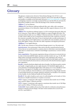# <span id="page-38-1"></span><span id="page-38-0"></span>**Glossary**

This glossary contains terms relevant to NetworkAmp Manager, the ACU16-C, and NHB32-C. A wealth of information about CobraNet, with sections especially for designers and installers, is available on the Peak Audio Web site at<http://www.peakaudio.com>. If you are designing a network, we strongly recommend that you visit this Web site and study the information available in order to take full advantage of the CobraNet technology.

**100Base-T:** *See* Fast Ethernet.

**100Base-FX:** Fast Ethernet utilizing multimode fiber optic cables, with a maximum transmission distance of two kilometers. Single mode fiber supports distances of over 100 kilometers.

**100Base-TX:** Fast Ethernet utilizing Category 5 (CAT5) twisted pair data grade cables and RJ-45 connectors. These cables are readily available in a range of lengths and colors. The maximum allowed cable run in an 100Base-T Ethernet network is 100 meters. If you need to make custom cables, be sure to maintain the natural twist of the conductors as close to the connector as possible. More than 25 mm of untwisted cable can affect performance. If you're using cable ties, don't tighten them so as to deform the outer insulation, and do not bend cables tightly. Doing so may affect the cable's impedance and degrade performance.

**1000Base-T:** *See* Gigabit Ethernet.

**APJ:** The file name extension of NetworkAmp Manager projects (e.g., My project.apj).

**Asynchronous:** Not synchronized. Often used to describe communications between devices that are not synchronized by a common clock, in which data is sent intermittently rather than in a steady stream. CobraNet's Serial Bridge is asynchronous. *Contrast with* Isochronous.

**Auto-negotiation:** The automatic negotiations that go on between two network devices in order to determine half/full-duplex operation and data transfer rate (e.g., 10, 100, 1000 Mbps) before actual data transmission commences. Auto-negotiation only works on switched networks. With repeater networks, all data transfers are half-duplex and the transfer rate is determined by the slowest device on the network. All CobraNet interfaces support auto-negotiation.

**Bundle:** CobraNet distributes digital audio data in bundles. One Ethernet packet contains one bundle. A single bundle can carry eight channels of 20-bit/48 kHz digital audio, or seven channels of 24-bit/48 kHz digital audio (with a latency of 5.33 ms). Bundles are numbered from 1 through 65,279. Bundles can be transmitted one-to-one (unicast) or one-to-many (multicast). Network efficiency can be optimized by using all eight channels in each bundle instead of, for example, using four channels in two bundles or two channels in four bundles. *See also* Multicast bundle *and* Unicast bundle.

**Bundle 0:** Not really a bundle as such, more of a null setting that can be made on Cobra-Net devices to disable transmission or reception as necessary.

**CAT3:** Category 3 twisted pair cable supports a maximum data transfer rate of 10 Mbps and is used for 10Base-T Ethernet networks.

**CAT5:** Category 5 twisted pair cable supports a maximum data transfer rate of 100 Mbps and is used for 100base-TX Ethernet networks.

**CobraCAD:** Freely available software from Peak Audio for verification and performance testing of CobraNet network designs. The latest version includes device icons for the ACU16-C and NHB32-C.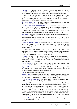**CobraNet:** Developed by Peak Audio, CobraNet technology allows real-time uncompressed digital audio distribution over industry standard 100Base-T Ethernet networks. Up to 128 channels, 64 in each direction, can be carried simultaneously over a switched 100Base-T network (64 channels on repeater networks). CobraNet supports a 48 kHz sampling rate with 16, 20, or 24-bit resolution. CobraNet devices can happily coexist with networked computers, printers, etc., on a switched 100Base-T Ethernet network, however, a dedicated network infrastructure is strongly recommended.

**CobraNet audio channel:** In CobraNet terminology, an audio channel is one 48 kHz digital audio signal with a 16, 20, 24-bit resolution.

**CobraNet primary/secondary ports:** CobraNet interfaces feature built-in redundancy, with primary and secondary ports for connection to primary and secondary networks. If an unrecoverable fault should occur on the primary network, CobraNet automatically switches to the secondary network, providing uninterrupted operation. Both ports are transformer isolated and fully comply with the IEEE 802.3 standard.

**Conductor:** The device on a CobraNet network that acts as wordclock master and network arbitrator. Only one device can be Conductor at any one time. If that device is unplugged or fails, another device automatically takes over as Conductor. The conductor ensures that only one device transmits data in each bundle at any one time. *See also* Performer.

**Crossover Ethernet cable:** An Ethernet cable whose data transmit and receive conductors have been swapped. Crossover cables are used to connect two Ethernet devices directly to each other. They should never be used to connect devices to a hub. *Contrast with* Straight Ethernet cable.

**CSV:** Abbreviation for Comma Separated Value file. CSV files, which are commonly used to exchange table-like data from spreadsheets and databases, use commas to separate the individual values on each line. NetworkAmp Manager log files use the CSV format and can easily be imported into a spreadsheet for further analysis.

**Ethernet:** The most widely implemented network protocol. The first implementation 10Base-T supports data transfer rates of 10 Mbps. The next implementation, 100Base-T (or Fast Ethernet) supports 100 Mbps. The newest version, Gigabit Ethernet, supports transfer rates of 1,000 Mbps (i.e., 1 gigabit).

**Fast Ethernet:** Also known as 100Base-T, the Ethernet standard that supports data transfer rates of 100 Mbps. CobraNet runs on Fast Ethernet networks.

**Gigabit Ethernet:** Also known as 1000Base-T, the Ethernet standard that supports data transfer rates of 1,000 Mbps. CobraNet supports Gigabit Ethernet. A Gigabit switched network can handle up to 1,028 CobraNet audio channels.

**Hub:** *See* Repeater hub *and* Switching hub.

**Isochronous:** Occurring at fixed intervals in time. Often used to describe real-time communications between devices in which data must be delivered at regular intervals. Cobra-Net transmits digital audio data isochronously. *Contrast with* Asynchronous.

**LAN (Local Area Network):** A network that exists in the same building or group of buildings. CobraNet is a LAN technology. *See also* WAN.

**Latency:** A CobraNet network adds a fixed latency (propagation delay) to all audio data that is conveyed over the network. You can select this delay from a range of 5.33 ms / 2.67 ms / 1.33 ms. However, decreasing the latency will intensify the limitations on Ethernet's packet delivery time, and will therefore decrease the maximum number of switches that can be used. If you set the latency to 1.33 ms, the number of bundles that can be used by the NHB32-C will be a maximum total of four for input and output. Also, while some applications will compensate for this, you will need to take into account this latency value when calculating the appropriate delay time used to compensate for mic positioning or to eliminate the Haas effect.

**Managed hub:** A type of switching hub that improves network efficiency by segregating a LAN into smaller virtual LANs.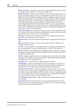**Media converter:** A device that converts from one type of distribution media to another, for example, Ethernet (100Base-TX) to fiber optic (100Base-FX).

**Multicast bundle:** CobraNet bundles 1 through 255 are multicast bundles, which means they are transmitted to all devices on the network regardless of whether any devices are configured to receive them. Multicast bundles allow point-to-multipoint connections and can be used with repeater hubs or switching hubs. Advantages include the ability to distribute digital audio to any number of devices simply by configuring those devices to receive the same bundle. Disadvantages are that all available network bandwidth is used, devices receive all bundles and must decide for themselves whether to receive or ignore the data, and any 10Base-T data ports (e.g., computers, printers, etc.) will be flooded with data. It can be stressful for switching hubs, which must work hard to transmit all incoming data to all output ports. *Contrast with* Unicast Bundle.

**Network topology:** The structure of a network. Common network topologies include star, ring, tree, and bus. Ethernet networks utilizing hubs are typically wired in a star topology, although a network may consist of various topologies.

**Performer:** The devices on a CobraNet network that are wordclock slaves. Performers synchronize to the conductor. *See also* Conductor.

**Repeater hub:** A basic network hub that retransmits all incoming data to all of its output ports.

**RJ-45 connector:** The type of connector used to connect 10Base-T, 100Base-T, and 1000Base-T Ethernet devices.

**RS-232C:** A serial interface for connecting serial devices, offering a transmission distance of approximately 15 meters, typically using 9- or 25-pin D-sub connectors.

**RS-422:** A balanced serial interface for connecting serial devices, offering a transmission distance of approximately 1 kilometer and higher data rates and greater immunity to interference than RS-232C.

**RS-485:** A balanced serial interface for connecting serial devices. Similar to RS-422 but with support for multiple receivers and transmitters, offering bidirectional half-duplex communications over a single twisted pair.

**Sampling rate:** CobraNet supports a single sampling rate of 48 kHz.

**Serial Bridge:** CobraNet's Serial Bridge feature allows serial data up to 57.6 kbps to be transmitted over the network. Due to the process of packetizing and re-serializing serial data, data sent over the Serial Bridge is delayed approximately 10 milliseconds.

**Straight Ethernet cable:** An Ethernet cable that is wired pin-for-pin (i.e., pin 1 connects to pin 1, pin 2 to pin 2, and so on). Straight cables are used to connect Ethernet devices to networks. You can easily tell whether an Ethernet cable is crossover or straight by looking at the wiring of both connectors. If the wiring is identical, it's a straight cable. If it's different, it's a crossover cable. *Contrast with* Crossover Ethernet cable.

**STP (Shielded Twisted Pair):** A cable consisting of two shielded conductors that are twisted together.

**Switching hub:** Sometimes referred to as a *switch*, switching hubs know the network address of each device on the network and automatically route network traffic accordingly, so each device receives only data addressed to it.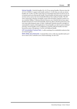**Unicast bundle:** CobraNet bundles 256~65,279 are unicast bundles. (However since the ACU16-C/NHB32-C support only bundle numbers 0~16,383, they can only use unicast bundles 256~16,383.) In other words, these are transmitted only if the two devices are set to transmit and receive that specific bundle. Unicast bundles only allow point-to-point connections and as such are far more bandwidth efficient than multicast bundles. This efficiency means that CobraNet can happily coexist with networked computers, printers, etc., on a switched 100Base-T Ethernet network. However, non-CobraNet devices may unpredictably demand a lot of network bandwidth, which may affect CobraNet performance and even cause audio dropouts, pops, or clicks. A dedicated CobraNet network is strongly recommended for mission critical applications. Unicast bundles can only be used on switched networks. Unicast bundles can be configured to work like multicast bundles, but that's beyond the scope of this glossary. *Contrast with* Multicast Bundle.

**UTP (Unshielded Twisted Pair):** A cable consisting of two unshielded conductors that are twisted together.

**WAN (Wide Area Network):** A network that covers a wide area, typically made up of two or more LANs. CobraNet is not a WAN technology. *See also* LAN.